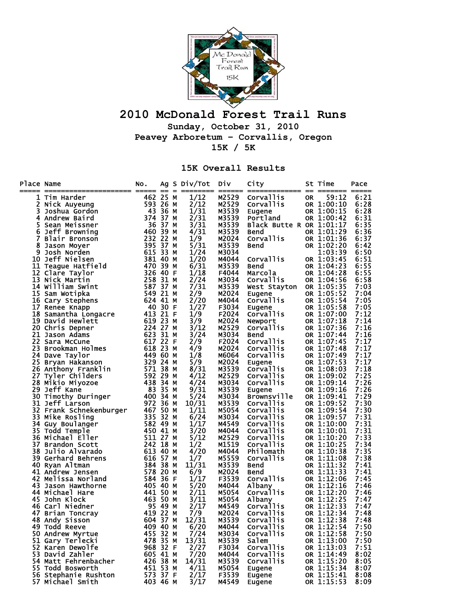

## **2010 McDonald Forest Trail Runs**

**Sunday, October 31, 2010 Peavey Arboretum – Corvallis, Oregon 15K / 5K** 

## **15K Overall Results**

| <b>Place Name</b> | ==================== ===== == =    | NO.      |   | Ag S Div/Tot | Div   | City<br>======== ====== ============= == |           | St Time<br>======= | Pace<br>$=====$ |
|-------------------|------------------------------------|----------|---|--------------|-------|------------------------------------------|-----------|--------------------|-----------------|
|                   | 1 Tim Harder                       | 462 25 M |   | 1/12         | M2529 | <b>Corvallis</b>                         | <b>OR</b> | 59:12              | 6:21            |
| 2                 | Nick Auyeung                       | 593 26 M |   | 2/12         | M2529 | Corvallis                                |           | OR 1:00:10         | 6:28            |
| 3                 | Joshua Gordon                      | 43 36 M  |   | 1/31         | M3539 | Eugene                                   |           | OR 1:00:15         | 6:28            |
| 4                 | Andrew Baird                       | 374 37 M |   | 2/31         | M3539 | Portland                                 |           | OR 1:00:42         | 6:31            |
| 5                 | Sean Meissner                      | 36 37 M  |   | 3/31         | M3539 | Black Butte R OR $1:01:17$               |           |                    | 6:35            |
| 6                 | Jeff Browning                      | 460 39 M |   | 4/31         | M3539 | Bend                                     |           | OR 1:01:29         | 6:36            |
| $\overline{z}$    | Blair Bronson                      | 232 22 M |   | 1/9          | M2024 | <b>Corvallis</b>                         |           | OR 1:01:36         | 6:37            |
| 8                 | Jason Moyer                        | 395 37 M |   | 5/31         | M3539 | Bend                                     |           | OR 1:02:20         | 6:42            |
| 9                 | Josh Norden                        | 615 33 M |   | 1/24         | M3034 |                                          |           | 1:03:39            | 6:50            |
| 10                | Jeff Nielsen                       | 381 40 M |   | 1/20         | M4044 | Corvallis                                |           | OR 1:03:45         | 6:51            |
|                   | 11 Teague Hatfield                 | 470 39 M |   | 6/31         | M3539 | Bend                                     |           | OR 1:04:23         | 6:55            |
|                   | 12 Clare Taylor                    | 326 40 F |   | 1/18         | F4044 | Marcola                                  |           | OR 1:04:28         | 6:55            |
| 13                | Nick Martin                        | 258 31 M |   | 2/24         | M3034 | Corvallis                                |           | OR 1:04:56         | 6:58            |
|                   | 14 William Swint                   | 587 37 M |   | 7/31         | M3539 | West Stayton                             |           | OR 1:05:35         | 7:03            |
|                   | 15 Sam Wotipka                     | 549 21 M |   | 2/9          | M2024 | Eugene                                   |           | OR 1:05:52         | 7:04            |
|                   | 16 Cary Stephens                   | 624 41 M |   | 2/20         | M4044 | <b>Corvallis</b>                         |           | OR 1:05:54         | 7:05            |
|                   | 17 Renee Knapp                     | 40 30 F  |   | 1/27         | F3034 | Eugene                                   |           | OR 1:05:58         | 7:05            |
|                   | 18 Samantha Longacre               | 413 21 F |   | 1/9          | F2024 | Corvallis                                |           | OR 1:07:00         | 7:12            |
|                   | 19 David Hewlett                   | 619 23 M |   | 3/9          | M2024 | Newport                                  |           | OR 1:07:18         | 7:14            |
|                   | 20 Chris Depner                    | 224 27 M |   | 3/12         | M2529 | <b>Corvallis</b>                         |           | OR 1:07:36         | 7:16            |
|                   | 21 Jason Adams                     | 623 31 M |   | 3/24         | M3034 | Bend                                     |           | OR 1:07:44         | 7:16            |
|                   | 22 Sara McCune                     | 617 22 F |   | 2/9          | F2024 | Corvallis                                |           | OR 1:07:45         | 7:17            |
| 23                | Brookman Holmes                    | 618 23   | M | 4/9          | M2024 | Corvallis                                |           | OR 1:07:48         | 7:17            |
|                   | 24 Dave Taylor                     | 449 60   | M | 1/8          | M6064 | Corvallis                                |           | OR 1:07:49         | 7:17            |
| 25                | Bryan Hakanson                     | 329 24 M |   | 5/9          | M2024 |                                          |           | OR 1:07:53         | 7:17            |
|                   |                                    | 571 38   |   |              | M3539 | Eugene<br>Corvallis                      |           | OR 1:08:03         | 7:18            |
|                   | 26 Anthony Franklin                | 592 29 M | M | 8/31         |       | Corvallis                                |           | OR 1:09:02         |                 |
| 27                | Tyler Childers<br>28 Mikio Miyozoe | 438 34 M |   | 4/12         | M2529 | Corvallis                                |           |                    | 7:25<br>7:26    |
|                   |                                    |          |   | 4/24         | M3034 |                                          |           | OR 1:09:14         | 7:26            |
| 29                | Jeff Kane                          | 83 35 M  |   | 9/31         | M3539 | Eugene                                   |           | OR 1:09:16         |                 |
| 30                | Timothy Duringer                   | 400 34 M |   | 5/24         | M3034 | <b>Brownsville</b>                       |           | OR 1:09:41         | 7:29            |
|                   | 31 Jeff Larson                     | 972 36 M |   | 10/31        | M3539 | <b>Corvallis</b>                         |           | OR 1:09:52         | 7:30            |
|                   | 32 Frank Schnekenburger            | 467 50 M |   | 1/11         | M5054 | Corvallis                                |           | OR 1:09:54         | 7:30            |
| 33                | Mike Rosling                       | 335 32 M |   | 6/24         | M3034 | Corvallis                                |           | OR 1:09:57         | 7:31            |
|                   | 34 Guy Boulanger                   | 582 49 M |   | 1/17         | M4549 | Corvallis                                |           | OR 1:10:00         | 7:31            |
| 35                | Todd Temple                        | 450 41 M |   | 3/20         | M4044 | Corvallis                                |           | OR 1:10:01         | 7:31            |
| 36                | Michael Eller                      | 511 27 M |   | 5/12         | M2529 | Corvallis                                |           | OR 1:10:20         | 7:33            |
| 37                | <b>Brandon Scott</b>               | 242 18 M |   | 1/2          | M1519 | Corvallis                                |           | OR 1:10:25         | 7:34            |
|                   | 38 Julio Alvarado                  | 613 40 M |   | 4/20         | M4044 | Philomath                                |           | OR 1:10:38         | 7:35            |
|                   | 39 Gerhard Behrens                 | 616 57 M |   | 1/7          | M5559 | Corvallis                                |           | OR 1:11:08         | 7:38            |
| 40                | Ryan Altman                        | 384 38   | M | 11/31        | M3539 | Bend                                     |           | OR 1:11:32         | 7:41            |
|                   | 41 Andrew Jensen                   | 578 20 M |   | 6/9          | M2024 | <b>Bend</b>                              |           | OR 1:11:33         | 7:41            |
|                   | 42 Melissa Norland                 | 584 36 F |   | 1/17         | F3539 | Corvallis                                |           | OR 1:12:06         | 7:45            |
|                   | 43 Jason Hawthorne                 | 405 40 M |   | 5/20         | M4044 | Albany                                   |           | OR 1:12:16         | 7:46            |
|                   | 44 Michael Hare                    | 441 50 M |   | 2/11         | M5054 | Corvallis                                |           | OR 1:12:20         | 7:46            |
| 45                | John Klock                         | 463 50 M |   | 3/11         | M5054 | Albany                                   |           | OR 1:12:25         | 7:47            |
|                   | 46 Carl Niedner                    | 95 49 M  |   | 2/17         | M4549 | <b>Corvallis</b>                         |           | OR 1:12:33         | 7:47            |
| 47                | Brian Toncray                      | 419 22 M |   | 7/9          | M2024 | Corvallis                                |           | OR 1:12:34         | 7:48            |
|                   | 48 Andy Sisson                     | 604 37   | М | 12/31        | M3539 | <b>Corvallis</b>                         |           | OR 1:12:38         | 7:48            |
|                   | 49 Todd Reeve                      | 409 40 M |   | 6/20         | M4044 | Corvallis                                |           | OR 1:12:54         | 7:50            |
|                   | 50 Andrew Myrtue                   | 455 32 M |   | 7/24         | M3034 | Corvallis                                |           | OR 1:12:58         | 7:50            |
|                   | 51 Gary Terlecki                   | 478 35 M |   | 13/31        | M3539 | Salem                                    |           | OR 1:13:00         | 7:50            |
|                   | 52 Karen Dewolfe                   | 968 32 F |   | 2/27         | F3034 | Corvallis                                |           | OR 1:13:03         | 7:51            |
|                   | 53 David Zahler                    | 605 41 M |   | 7/20         | M4044 | Corvallis                                |           | OR 1:14:49         | 8:02            |
|                   | 54 Matt Fehrenbacher               | 426 38 M |   | 14/31        | M3539 | Corvallis                                |           | OR 1:15:20         | 8:05            |
|                   | 55 Todd Bosworth                   | 451 53 M |   | 4/11         | M5054 | Eugene                                   |           | OR 1:15:34         | 8:07            |
|                   | 56 Stephanie Rushton               | 573 37 F |   | 2/17         | F3539 | Eugene                                   |           | OR 1:15:41         | 8:08            |
|                   | 57 Michael Smith                   | 403 46 м |   | 3/17         | M4549 | Eugene                                   |           | OR 1:15:53         | 8:09            |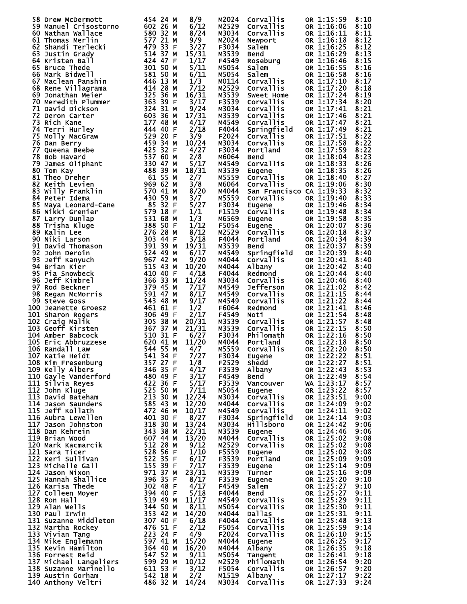| 58 Drew McDermott                                                                                                                                                                                                                                      | 454 24 M                                   | 8/9   | M2024 | Corvallis                | OR 1:15:59 | 8:10         |
|--------------------------------------------------------------------------------------------------------------------------------------------------------------------------------------------------------------------------------------------------------|--------------------------------------------|-------|-------|--------------------------|------------|--------------|
| <b>58 Drew McDermott</b><br>59 Manuel Crisostorno<br>60 Nathan Wallace<br>61 Thomas Merlin<br>62 Shandi Terlecki                                                                                                                                       | 602 26 M                                   | 6/12  | M2529 | Corvallis                | OR 1:16:06 | 8:10         |
|                                                                                                                                                                                                                                                        | 580 32 M                                   | 8/24  | M3034 | <b>Corvallis</b>         | OR 1:16:11 | 8:11         |
|                                                                                                                                                                                                                                                        | 577 21 M                                   | 9/9   | M2024 | Newport                  | OR 1:16:18 | 8:12         |
| <b>61 Thomas Meriin</b><br>62 Shandi Terlecki<br>63 Justin Grady<br>64 Kristen Ball<br>65 Bruce Thede<br>66 Mark Bidwell<br>67 Maclean Panshin                                                                                                         | 479 33 F                                   | 3/27  | F3034 | Salem                    | OR 1:16:25 | 8:12         |
|                                                                                                                                                                                                                                                        | 514 37 M                                   | 15/31 | M3539 | <b>Bend</b>              | OR 1:16:29 | 8:13         |
|                                                                                                                                                                                                                                                        | 424 47 F                                   | 1/17  | F4549 | Roseburg                 | OR 1:16:46 | 8:15         |
|                                                                                                                                                                                                                                                        | 301 50 M                                   | 5/11  | M5054 | Salem                    | OR 1:16:55 | 8:16         |
|                                                                                                                                                                                                                                                        | 581 50 M                                   | 6/11  | M5054 | Salem                    | OR 1:16:58 | 8:16         |
|                                                                                                                                                                                                                                                        | 446 13 M                                   | 1/3   | M0114 | Corvallis                | OR 1:17:10 | 8:17         |
| 67 Maclean Panshin 446 13 M<br>68 Rene Villagrama 414 28 M<br>69 Jonathan Meier 325 36 M<br>70 Meredith Plummer 363 39 F<br>71 David Dickson<br>72 Deron Carter 603 36 M<br>72 Deron Carter 603 36 M<br>73 Rich Kane 177 48 M<br>74 Terri Hurley 444 4 |                                            | 7/12  | M2529 | Corvallis                | OR 1:17:20 | 8:18         |
|                                                                                                                                                                                                                                                        |                                            | 16/31 | M3539 | Sweet Home               | OR 1:17:24 | 8:19         |
|                                                                                                                                                                                                                                                        |                                            | 3/17  | F3539 | <b>Corvallis</b>         | OR 1:17:34 | 8:20         |
|                                                                                                                                                                                                                                                        |                                            | 9/24  | M3034 | Corvallis                | OR 1:17:41 | 8:21         |
|                                                                                                                                                                                                                                                        |                                            | 17/31 | M3539 | Corvallis                | OR 1:17:46 | 8:21         |
|                                                                                                                                                                                                                                                        |                                            | 4/17  |       | Corvallis                | OR 1:17:47 | 8:21         |
|                                                                                                                                                                                                                                                        |                                            | 2/18  | M4549 |                          | OR 1:17:49 |              |
|                                                                                                                                                                                                                                                        |                                            |       | F4044 | Springfield              |            | 8:21<br>8:22 |
|                                                                                                                                                                                                                                                        |                                            | 3/9   | F2024 | Corvallis                | OR 1:17:51 |              |
|                                                                                                                                                                                                                                                        |                                            | 10/24 | M3034 | <b>Corvallis</b>         | OR 1:17:58 | 8:22         |
|                                                                                                                                                                                                                                                        |                                            | 4/27  | F3034 | Portland                 | OR 1:17:59 | 8:22         |
|                                                                                                                                                                                                                                                        |                                            | 2/8   | M6064 | Bend                     | OR 1:18:04 | 8:23         |
|                                                                                                                                                                                                                                                        |                                            | 5/17  | M4549 | <b>Corvallis</b>         | OR 1:18:33 | 8:26         |
|                                                                                                                                                                                                                                                        |                                            | 18/31 | M3539 | Eugene                   | OR 1:18:35 | 8:26         |
|                                                                                                                                                                                                                                                        |                                            | 2/7   | M5559 | Corvallis                | OR 1:18:40 | 8:27         |
|                                                                                                                                                                                                                                                        |                                            | 3/8   | M6064 | <b>Corvallis</b>         | OR 1:19:06 | 8:30         |
|                                                                                                                                                                                                                                                        |                                            | 8/20  | M4044 | San Francisco CA 1:19:33 |            | 8:32         |
| 84 Peter Idema                                                                                                                                                                                                                                         | 430 59 M                                   | 3/7   | M5559 | Corvallis                | OR 1:19:40 | 8:33         |
|                                                                                                                                                                                                                                                        |                                            | 5/27  | F3034 | Eugene                   | OR 1:19:46 | 8:34         |
|                                                                                                                                                                                                                                                        |                                            | 1/1   | F1519 | Corvallis                | OR 1:19:48 | 8:34         |
|                                                                                                                                                                                                                                                        |                                            | 1/3   | M6569 | Eugene                   | OR 1:19:58 | 8:35         |
|                                                                                                                                                                                                                                                        |                                            | 1/12  | F5054 | Eugene                   | OR 1:20:07 | 8:36         |
|                                                                                                                                                                                                                                                        |                                            | 8/12  | M2529 | Corvallis                | OR 1:20:18 | 8:37         |
|                                                                                                                                                                                                                                                        |                                            | 3/18  | F4044 | Portland                 | OR 1:20:34 | 8:39         |
|                                                                                                                                                                                                                                                        |                                            | 19/31 | M3539 | <b>Bend</b>              | OR 1:20:37 | 8:39         |
| 84 Peter Idemand - Canada Market Market Market Market Market Market Market Market Market Market Market Market Market Market Market Market Market Market Market Market Market Market Market Market Market Market Market Market                          |                                            | 6/17  | M4549 | Springfield              | OR 1:20:39 | 8:40         |
|                                                                                                                                                                                                                                                        |                                            | 9/20  | M4044 | <b>Corvallis</b>         | OR 1:20:41 | 8:40         |
|                                                                                                                                                                                                                                                        |                                            | 10/20 | M4044 | Albany                   | OR 1:20:42 | 8:40         |
|                                                                                                                                                                                                                                                        |                                            | 4/18  | F4044 | Redmond                  | OR 1:20:44 | 8:40         |
|                                                                                                                                                                                                                                                        |                                            | 11/24 | M3034 | Corvallis                | OR 1:20:46 | 8:40         |
|                                                                                                                                                                                                                                                        |                                            | 7/17  | M4549 | Jefferson                | OR 1:21:02 | 8:42         |
|                                                                                                                                                                                                                                                        | 591 47 M                                   | 8/17  | M4549 | <b>Corvallis</b>         | OR 1:21:15 | 8:44         |
| 98 Regan McMorris<br>99 Steve Goss<br>99 Steve Goss                                                                                                                                                                                                    | 543 48 M                                   | 9/17  | M4549 | Corvallis                | OR 1:21:22 | 8:44         |
|                                                                                                                                                                                                                                                        |                                            | 1/2   | F6064 | Redmond                  | OR 1:21:41 | 8:46         |
|                                                                                                                                                                                                                                                        |                                            | 2/17  | F4549 | Noti                     | OR 1:21:54 | 8:48         |
|                                                                                                                                                                                                                                                        |                                            | 20/31 | M3539 | Corvallis                | OR 1:21:57 | 8:48         |
| 99 Steve Goss<br>100 Jeanette Groesz<br>101 Sharon Rogers<br>102 Craig Malik<br>103 Geoff Kirsten<br>103 Geoff Kirsten<br>103 Geoff Kirsten<br>103 Eric Abbruzzese<br>105 Eric Abbruzzese<br>106 Randall Law<br>107 Katie Heidt<br>107 Katie Heidt<br> |                                            | 21/31 | M3539 | Corvallis                | OR 1:22:15 | 8:50         |
|                                                                                                                                                                                                                                                        |                                            | 6/27  | F3034 | Philomath                | OR 1:22:16 | 8:50         |
|                                                                                                                                                                                                                                                        |                                            | 11/20 | M4044 | Portland                 | OR 1:22:18 | 8:50         |
|                                                                                                                                                                                                                                                        |                                            | 4/7   | M5559 | <b>Corvallis</b>         | OR 1:22:20 | 8:50         |
| 06 Kans<br>107 Katie Helus<br>108 Kim Fresenburg<br>109 Kelly Albers<br>110 Gayle Vanderford<br>111 Silvia Reyes<br>111 Silvia Reyes<br>111 Silvia Reyes<br>111 Viuge                                                                                  |                                            | 7/27  | F3034 | Eugene                   | OR 1:22:22 | 8:51         |
|                                                                                                                                                                                                                                                        | 357 27 F                                   | 1/8   | F2529 | Shedd                    | OR 1:22:27 | 8:51         |
|                                                                                                                                                                                                                                                        | 346 35 F                                   | 4/17  | F3539 | Albany                   | OR 1:22:43 | 8:53         |
|                                                                                                                                                                                                                                                        | 480 49 F                                   | 3/17  | F4549 | Bend                     | OR 1:22:49 | 8:54         |
|                                                                                                                                                                                                                                                        | 422 36 F                                   | 5/17  | F3539 | Vancouver                | WA 1:23:17 | 8:57         |
|                                                                                                                                                                                                                                                        | 525 50 M                                   | 7/11  | M5054 | Eugene                   | OR 1:23:22 | 8:57         |
|                                                                                                                                                                                                                                                        | 213 30 M                                   | 12/24 | M3034 | Corvallis                | OR 1:23:51 | 9:00         |
| 113 David Ducenter<br>114 Jason Saunders                                                                                                                                                                                                               | 585 43 M                                   | 12/20 | M4044 | <b>Corvallis</b>         | OR 1:24:09 | 9:02         |
| 115 Jeff Kollath                                                                                                                                                                                                                                       | 472 46 M                                   | 10/17 | M4549 | Corvallis                | OR 1:24:11 | 9:02         |
| 116 Aubra Lewellen                                                                                                                                                                                                                                     | 401 30 F                                   | 8/27  | F3034 | Springfield              | OR 1:24:14 | 9:03         |
| 117 Jason Johnston                                                                                                                                                                                                                                     | 318 30 M                                   | 13/24 | м3034 | <b>Hillsboro</b>         | OR 1:24:42 | 9:06         |
| 118 Dan Kehrein                                                                                                                                                                                                                                        | 343 38 M                                   | 22/31 | M3539 | Eugene                   | OR 1:24:46 | 9:06         |
| 119 Brian Wood                                                                                                                                                                                                                                         | 607 44 M                                   | 13/20 | M4044 | <b>Corvallis</b>         | OR 1:25:02 | 9:08         |
| 120 Mark Kacmarcik                                                                                                                                                                                                                                     | 512 28 M                                   | 9/12  | M2529 | Corvallis                | OR 1:25:02 | 9:08         |
| 121 Sara Ticer                                                                                                                                                                                                                                         | 528 56 F                                   | 1/10  | F5559 | Eugene                   | OR 1:25:02 | 9:08         |
| 122 Keri Sullivan                                                                                                                                                                                                                                      | 522 35 F                                   | 6/17  | F3539 | Portland                 | OR 1:25:09 | 9:09         |
| 123 Michelle Gall                                                                                                                                                                                                                                      | 155 39 F                                   | 7/17  | F3539 | Eugene                   | OR 1:25:14 | 9:09         |
| 124 Jason Nixon                                                                                                                                                                                                                                        | 971 37 M                                   | 23/31 | M3539 | Turner                   | OR 1:25:16 | 9:09         |
| 125 Hannah Shallice                                                                                                                                                                                                                                    | 396 35 F                                   | 8/17  | F3539 | Eugene                   | OR 1:25:20 | 9:10         |
| 126 Karisa Thede                                                                                                                                                                                                                                       |                                            | 4/17  | F4549 | Salem                    | OR 1:25:27 | 9:10         |
| 127 Colleen Moyer                                                                                                                                                                                                                                      | 302 TV<br>394 40 F<br>519 49 M<br>344 50 M | 5/18  | F4044 | Bend                     | OR 1:25:27 | 9:11         |
| 128 Ron Hall                                                                                                                                                                                                                                           |                                            | 11/17 | M4549 | <b>Corvallis</b>         | OR 1:25:29 | 9:11         |
|                                                                                                                                                                                                                                                        | 313 43 M<br>344 50 M                       | 8/11  |       | <b>Corvallis</b>         | OR 1:25:30 | 9:11         |
| 129 Alan Wells                                                                                                                                                                                                                                         | 353 42 M                                   |       | M5054 | <b>Dallas</b>            | OR 1:25:31 | 9:11         |
| 130 Paul Irwin                                                                                                                                                                                                                                         |                                            | 14/20 | M4044 | Corvallis                | OR 1:25:48 | 9:13         |
| 130 Paul Irwin<br>131 Suzanne Middleton<br>132 Martha Rockey<br>132 Martha Rockey<br>133 Vivian Tang<br>134 Mike Englemann<br>135 Kevin Hamilton<br>136 Forrest Reid<br>136 Forrest Reid<br>136 Paul 136 Paul 136 Paul 136 Paul 136 Paul 136 Pau       |                                            | 6/18  | F4044 |                          |            |              |
|                                                                                                                                                                                                                                                        |                                            | 2/12  | F5054 | <b>Corvallis</b>         | OR 1:25:59 | 9:14         |
|                                                                                                                                                                                                                                                        |                                            | 4/9   | F2024 | Corvallis                | OR 1:26:10 | 9:15         |
|                                                                                                                                                                                                                                                        |                                            | 15/20 | M4044 | Eugene                   | OR 1:26:25 | 9:17         |
|                                                                                                                                                                                                                                                        |                                            | 16/20 | M4044 | Albany                   | OR 1:26:35 | 9:18         |
| 136 Forrest Reid                                                                                                                                                                                                                                       | 547 52 M                                   | 9/11  | M5054 | Tangent                  | OR 1:26:41 | 9:18         |
| 137 Michael Langeliers<br>138 Suzanne Marinello                                                                                                                                                                                                        | 599 29 M                                   | 10/12 | M2529 | Philomath                | OR 1:26:54 | 9:20         |
|                                                                                                                                                                                                                                                        | 611 53 F                                   | 3/12  | F5054 | Corvallis                | OR 1:26:57 | 9:20         |
| 139 Austin Gorham                                                                                                                                                                                                                                      | 542 18 M                                   | 2/2   | M1519 | Albany                   | OR 1:27:17 | 9:22         |
| 140 Anthony Veltri                                                                                                                                                                                                                                     | 486 32 M                                   | 14/24 | M3034 | Corvallis                | OR 1:27:33 | 9:24         |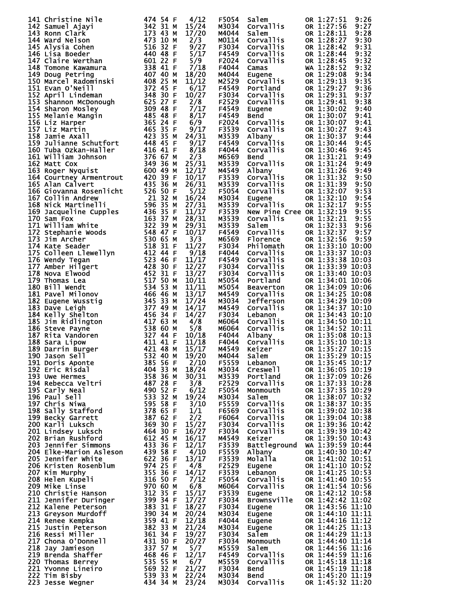| 141 Christine Nile<br>141 Christine Nile<br>142 Samuel Ajayi 342 31 M<br>143 Ronn Clark 173 43 M<br>144 Ward Nelson 473 10 M<br>145 Alysia Cohen 516 32 F<br>146 Lisa Boeder 440 48 F<br>147 Claire Werthan 601 22 F<br>148 Tomone Kawamura 338 41 F<br>149 Doug Pet       | 474 54 F               | 4/12               | F5054          | Salem                                            | OR 1:27:51                           | 9:26         |
|----------------------------------------------------------------------------------------------------------------------------------------------------------------------------------------------------------------------------------------------------------------------------|------------------------|--------------------|----------------|--------------------------------------------------|--------------------------------------|--------------|
|                                                                                                                                                                                                                                                                            |                        | 15/24              | M3034          | Corvallis                                        | OR 1:27:56                           | 9:27         |
|                                                                                                                                                                                                                                                                            |                        | 17/20              | M4044          | Salem                                            | OR 1:28:11                           | 9:28         |
|                                                                                                                                                                                                                                                                            |                        | 2/3<br>9/27        | M0114<br>F3034 | Corvallis<br>Corvallis                           | OR 1:28:27<br>OR 1:28:42             | 9:30<br>9:31 |
|                                                                                                                                                                                                                                                                            |                        | 5/17               | F4549          | Corvallis                                        | OR 1:28:44                           | 9:32         |
|                                                                                                                                                                                                                                                                            |                        | 5/9                | F2024          | Corvallis                                        | OR 1:28:45                           | 9:32         |
|                                                                                                                                                                                                                                                                            |                        | 7/18               | F4044          | Camas                                            | WA 1:28:52                           | 9:32         |
|                                                                                                                                                                                                                                                                            |                        | 18/20              | M4044          | Eugene                                           | OR 1:29:08                           | 9:34         |
|                                                                                                                                                                                                                                                                            |                        | 11/12              | M2529          | Corvallis                                        | OR 1:29:13                           | 9:35         |
|                                                                                                                                                                                                                                                                            |                        | 6/17               | F4549          | Portland                                         | OR 1:29:27                           | 9:36         |
|                                                                                                                                                                                                                                                                            |                        | 10/27              | F3034          | Corvallis                                        | OR 1:29:31                           | 9:37         |
|                                                                                                                                                                                                                                                                            |                        | $\frac{2/8}{7/17}$ | F2529          | Corvallis                                        | OR 1:29:41                           | 9:38         |
|                                                                                                                                                                                                                                                                            |                        | 8/17               | F4549<br>F4549 | <b>Eugene<br/>Bend<br/>Corvallis<br/>Elister</b> | OR 1:30:02<br>OR 1:30:07             | 9:40<br>9:41 |
|                                                                                                                                                                                                                                                                            |                        | 6/9                | F2024          |                                                  | OR 1:30:07                           | 9:41         |
|                                                                                                                                                                                                                                                                            |                        | 9/17               | F3539          |                                                  | OR 1:30:27                           | 9:43         |
|                                                                                                                                                                                                                                                                            |                        | 24/31              | M3539          |                                                  | OR 1:30:37                           | 9:44         |
|                                                                                                                                                                                                                                                                            |                        | 9/17               | F4549          | Albany<br>Corva <u>l</u> lis                     | OR 1:30:44                           | 9:45         |
| 160 Tuba Ozkan-Haller                                                                                                                                                                                                                                                      | 416 41 F               | 8/18               | F4044          | corvallis                                        | OR 1:30:46                           | 9:45         |
|                                                                                                                                                                                                                                                                            |                        | 2/3                | M6569          | <b>Bend</b>                                      | OR 1:31:21                           | 9:49         |
|                                                                                                                                                                                                                                                                            |                        | 25/31              | M3539          | Corvallis                                        | OR 1:31:24                           | 9:49         |
|                                                                                                                                                                                                                                                                            |                        | 12/17<br>10/17     | M4549<br>F3539 | Albany<br>Corvallis                              | OR 1:31:26<br>OR 1:31:32             | 9:49         |
|                                                                                                                                                                                                                                                                            |                        | 26/31              | M3539          | Corvallis                                        | OR 1:31:39                           | 9:50<br>9:50 |
|                                                                                                                                                                                                                                                                            |                        | 5/12               | F5054          | Corvallis                                        | OR 1:32:07                           | 9:53         |
|                                                                                                                                                                                                                                                                            |                        | 16/24              | M3034          | Eugene                                           | OR 1:32:10                           | 9:54         |
|                                                                                                                                                                                                                                                                            |                        | 27/31              | M3539          | Corvallis                                        | OR 1:32:17                           | 9:55         |
|                                                                                                                                                                                                                                                                            |                        | 11/17              | F3539          | New Pine Cree OR 1:32:19                         |                                      | 9:55         |
|                                                                                                                                                                                                                                                                            |                        | 28/31              | M3539          | Corvallis                                        | OR 1:32:21                           | 9:55         |
|                                                                                                                                                                                                                                                                            |                        | 29/31              | M3539          | Salem<br>Salem<br>Corvallis                      | OR 1:32:33                           | 9:56         |
|                                                                                                                                                                                                                                                                            |                        | 10/17              | F4549          |                                                  | OR 1:32:37                           | 9:57         |
|                                                                                                                                                                                                                                                                            |                        | 3/3<br>11/27       | M6569<br>F3034 | Florence                                         | OR 1:32:56<br>OR 1:33:10 10:00       | 9:59         |
|                                                                                                                                                                                                                                                                            |                        | 9/18               | F4044          | omath<br>Corvallis<br>Corvalli                   | OR 1:33:37 10:03                     |              |
|                                                                                                                                                                                                                                                                            |                        | 11/17              | F4549          | Corvallis                                        | OR 1:33:38 10:03                     |              |
|                                                                                                                                                                                                                                                                            |                        | 12/27              | F3034          | Corvallis                                        | OR 1:33:39 10:03                     |              |
| 160 Tuba Ozkan-Haller<br>160 Tuba Ozkan-Haller<br>161 William Johnson<br>162 Matt Cox<br>163 Roger Nyquist<br>162 Matt Cox<br>163 Roger Nyquist<br>166 Giovanna Rosenlicht<br>165 Alan Calvert<br>165 Alan Calvert<br>165 Giovanna Rosenlicht<br>167                       |                        | 13/27              | F3034          | Corvallis                                        | OR 1:33:40 10:03                     |              |
|                                                                                                                                                                                                                                                                            |                        | 10/11              | M5054          | Portland                                         | OR 1:34:01 10:06                     |              |
|                                                                                                                                                                                                                                                                            |                        | 11/11              | M5054          | Beaverton                                        | OR 1:34:09 10:06                     |              |
|                                                                                                                                                                                                                                                                            |                        | 13/17              | M4549          | Corvallis                                        | OR 1:34:25 10:08                     |              |
| 180 B111 Wendt<br>181 Pavel Milonov<br>182 Eugene Wusstig<br>183 Dave Leight<br>183 Dave Leight<br>184 Kelly Shelton<br>184 Milonov<br>186 Steve Payne<br>186 Steve Payne<br>187 Rita Vandoren<br>187 Rita Vandoren<br>187 Rita Vandoren<br>188 Sara L                     |                        | 17/24              | M3034          | Jefferson<br><b>Corvallis</b>                    | OR 1:34:29 10:09                     |              |
|                                                                                                                                                                                                                                                                            |                        | 14/17<br>14/27     | M4549<br>F3034 | Lebanon                                          | OR 1:34:37 10:10<br>OR 1:34:43 10:10 |              |
|                                                                                                                                                                                                                                                                            |                        | 4/8                | M6064          | Corvallis                                        | OR 1:34:50 10:11                     |              |
|                                                                                                                                                                                                                                                                            |                        | 5/8                | м6064          | Corvallis                                        | OR 1:34:52 10:11                     |              |
|                                                                                                                                                                                                                                                                            |                        | 10/18              | F4044          | Albany                                           | OR 1:35:08 10:13                     |              |
|                                                                                                                                                                                                                                                                            |                        | 11/18              | F4044          | Corvallis                                        | OR 1:35:10 10:13                     |              |
|                                                                                                                                                                                                                                                                            |                        | 15/17              | M4549          | Keizer                                           | OR 1:35:27 10:15                     |              |
| 190 Jason Sell<br>190 Jason Sell<br>191 Doris Aponte<br>192 Eric Risdal<br>193 Uwe Hermes<br>194 Rebecca Veltri<br>194 Rebecca Veltri<br>195 Carly Neal<br>195 Carly Neal<br>196 Paul Sell<br>196 Paul Sell<br>197 Chris Niwa<br>197 Chris Niwa<br>197 Chris Niwa<br>197 C | $532$ 40 M $19/20$     |                    | M4044          | Salem                                            | OR 1:35:29 10:15                     |              |
|                                                                                                                                                                                                                                                                            |                        | 2/10<br>18/24      | F5559<br>M3034 | Lebanon<br>Creswell                              | OR 1:35:45 10:17<br>OR 1:36:05 10:19 |              |
|                                                                                                                                                                                                                                                                            |                        | 30/31              | M3539          | Portland                                         | OR 1:37:09 10:26                     |              |
|                                                                                                                                                                                                                                                                            |                        | 3/8                | F2529          | <b>Corvallis</b>                                 | OR 1:37:33 10:28                     |              |
|                                                                                                                                                                                                                                                                            |                        | 6/12               | F5054          | Monmouth                                         | OR 1:37:35 10:29                     |              |
|                                                                                                                                                                                                                                                                            |                        | 19/24              | M3034          | Salem                                            | OR 1:38:07 10:32                     |              |
| 93 University Neal<br>195 Carly Neal<br>196 Paul Sell<br>196 Paul Sell<br>197 Chris Niwa<br>198 Sally Stafford<br>199 Becky Garrett<br>199 Becky Garrett<br>197 Paul Luksch<br>197 Paul Luksch<br>198 30 F<br>198 Paul Luksch<br>198 30 F<br>198 20 Pau                    |                        | 3/10               | F5559          | Corvallis                                        | OR 1:38:37 10:35                     |              |
|                                                                                                                                                                                                                                                                            |                        | 1/1                | F6569          | Corvallis                                        | OR 1:39:02 10:38                     |              |
|                                                                                                                                                                                                                                                                            |                        | 2/2<br>15/27       | F6064          | <b>Corvallis</b>                                 | OR 1:39:04 10:38<br>OR 1:39:36 10:42 |              |
|                                                                                                                                                                                                                                                                            |                        | 16/27              | F3034<br>F3034 | Corvallis<br>Corvallis                           | OR 1:39:39 10:42                     |              |
|                                                                                                                                                                                                                                                                            | $612$ 45 M<br>433 36 F | 16/17              | M4549          | Keizer                                           | OR 1:39:50 10:43                     |              |
|                                                                                                                                                                                                                                                                            |                        | 12/17              | F3539          | Battleground                                     | WA 1:39:59 10:44                     |              |
| 203 Jennifer Simmons 433 36 F<br>204 Elke-Marion Asleson 439 58 F                                                                                                                                                                                                          |                        | 4/10               | F5559          | Albany                                           | OR 1:40:30 10:47                     |              |
| 205 Jennifer White                                                                                                                                                                                                                                                         | 622 36 F               | 13/17              | F3539          | Molalla                                          | OR 1:41:02 10:51                     |              |
|                                                                                                                                                                                                                                                                            |                        | 4/8                | F2529          | Eugene                                           | OR 1:41:10 10:52                     |              |
|                                                                                                                                                                                                                                                                            |                        | 14/17              | F3539          | Lebanon                                          | OR 1:41:25 10:53                     |              |
|                                                                                                                                                                                                                                                                            |                        | 7/12               | F5054          | Corvallis                                        | OR 1:41:40 10:55                     |              |
|                                                                                                                                                                                                                                                                            |                        | 6/8<br>15/17       | м6064<br>F3539 | Corvallis<br>Eugene                              | OR 1:41:54 10:56<br>OR 1:42:12 10:58 |              |
|                                                                                                                                                                                                                                                                            |                        | 17/27              | F3034          | <b>Brownsville</b>                               | OR 1:42:42 11:02                     |              |
|                                                                                                                                                                                                                                                                            |                        | 18/27              | F3034          | Eugene                                           | OR 1:43:56 11:10                     |              |
|                                                                                                                                                                                                                                                                            |                        | 20/24              | M3034          | Eugene                                           | OR 1:44:10 11:11                     |              |
|                                                                                                                                                                                                                                                                            |                        | 12/18              | F4044          | <b>Eugene</b>                                    | OR 1:44:16 11:12                     |              |
|                                                                                                                                                                                                                                                                            |                        | 21/24              | M3034          | Eugene                                           | OR 1:44:25 11:13                     |              |
|                                                                                                                                                                                                                                                                            |                        | 19/27              | F3034          | Salem                                            | OR 1:44:29 11:13                     |              |
|                                                                                                                                                                                                                                                                            |                        | 20/27              | F3034          | Monmouth                                         | OR 1:44:40 11:14<br>OR 1:44:56 11:16 |              |
|                                                                                                                                                                                                                                                                            |                        | 5/7<br>12/17       | M5559<br>F4549 | Salem<br><b>Corvallis</b>                        | OR 1:44:59 11:16                     |              |
| 205 Jennifer White<br>205 Jennifer White<br>206 Kristen Rosenblum<br>207 Kim Murphy<br>208 Helen Kupeli<br>209 Mike Linse<br>210 Christie Hanson<br>211 Jennifer Duringer<br>212 Galene Peterson<br>212 Salene Peterson<br>212 Salene Peterson<br>21                       |                        | 6/7                | M5559          | <b>Corvallis</b>                                 | OR 1:45:18 11:18                     |              |
|                                                                                                                                                                                                                                                                            |                        | 21/27              | F3034          | Bend                                             | OR 1:45:19 11:18                     |              |
|                                                                                                                                                                                                                                                                            |                        | 22/24              | м3034          | <b>Bend</b>                                      | OR 1:45:20 11:19                     |              |
|                                                                                                                                                                                                                                                                            |                        | 23/24              | M3034          | Corvallis                                        | OR 1:45:32 11:20                     |              |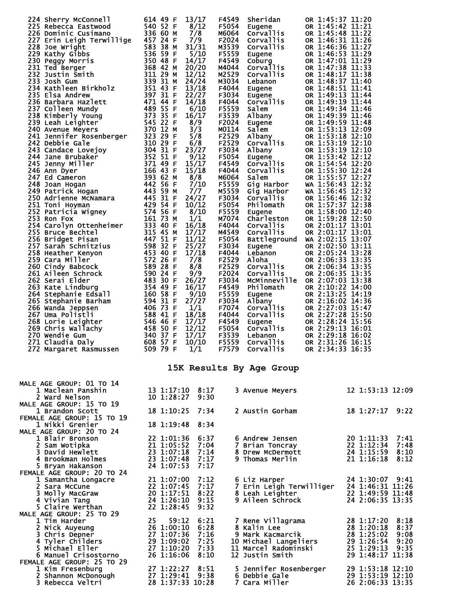|                                                                                                                                                                                                                                               |                          | 13/17<br>8/12<br>7/8          |                         | F4549 Sheridan OR 1:45:37 11:20<br>F6064 Eugene OR 1:45:42 11:21<br>F6064 Corvallis OR 1:45:42 11:21<br>F6064 Corvallis OR 1:45:42 11:22<br>F6064 Corvallis OR 1:46:31 11:26<br>F6064 Corvallis OR 1:46:31 11:22<br>F70224 Corvallis OR 1:     |                               |                    |
|-----------------------------------------------------------------------------------------------------------------------------------------------------------------------------------------------------------------------------------------------|--------------------------|-------------------------------|-------------------------|------------------------------------------------------------------------------------------------------------------------------------------------------------------------------------------------------------------------------------------------|-------------------------------|--------------------|
|                                                                                                                                                                                                                                               |                          | 7/9<br>31/31                  |                         |                                                                                                                                                                                                                                                |                               |                    |
|                                                                                                                                                                                                                                               |                          | $\frac{5/10}{14/17}$<br>20/20 |                         |                                                                                                                                                                                                                                                |                               |                    |
|                                                                                                                                                                                                                                               |                          | 12/12<br>24/24                |                         |                                                                                                                                                                                                                                                |                               |                    |
|                                                                                                                                                                                                                                               |                          | 13/18<br>22/27                |                         |                                                                                                                                                                                                                                                |                               |                    |
|                                                                                                                                                                                                                                               |                          | 14/18<br>6/10<br>16/17        |                         |                                                                                                                                                                                                                                                |                               |                    |
|                                                                                                                                                                                                                                               |                          | 8/9<br>3/3                    |                         |                                                                                                                                                                                                                                                |                               |                    |
|                                                                                                                                                                                                                                               |                          | 5/8<br>6/8<br>23/27           |                         |                                                                                                                                                                                                                                                |                               |                    |
|                                                                                                                                                                                                                                               |                          | $\frac{9/12}{15/17}$          |                         |                                                                                                                                                                                                                                                |                               |                    |
|                                                                                                                                                                                                                                               |                          | 15/18<br>8/8<br>7/10          |                         |                                                                                                                                                                                                                                                |                               |                    |
|                                                                                                                                                                                                                                               |                          | 7/7<br>24/27                  |                         |                                                                                                                                                                                                                                                |                               |                    |
|                                                                                                                                                                                                                                               |                          | 10/12<br>8/10                 |                         |                                                                                                                                                                                                                                                |                               |                    |
|                                                                                                                                                                                                                                               |                          | 1/1<br>16/18<br>17/17         |                         | M7074 Charleston OR 1:59:28 12:50<br>F4044 Corvallis OR 2:01:17 13:01<br>M4549 Corvallis OR 2:01:17 13:01                                                                                                                                      |                               |                    |
|                                                                                                                                                                                                                                               |                          | 11/12<br>25/27                | F5054<br>F3034          |                                                                                                                                                                                                                                                | Battleground WA 2:02:15 13:07 |                    |
|                                                                                                                                                                                                                                               |                          | 17/18<br>7/8<br>8/8           | F4044<br>F2529<br>F2529 | Eugene OR 2:02:50 13:11<br>Lebanon OR 2:05:24 13:28<br>Aloha OR 2:06:33 13:35<br>Corvallis OR 2:06:34 13:35<br>Corvallis OR 2:06:34 13:35<br>Corvallis OR 2:06:35 13:38                                                                        |                               |                    |
|                                                                                                                                                                                                                                               |                          | 9/9<br>26/27                  | F2024<br>F3034          |                                                                                                                                                                                                                                                | McMinneville OR 2:07:03 13:38 |                    |
|                                                                                                                                                                                                                                               |                          | 16/17<br>9/10                 | F4549<br>F5559          |                                                                                                                                                                                                                                                |                               |                    |
|                                                                                                                                                                                                                                               |                          | 27/27<br>1/1<br>18/18         | F3034<br>F7074<br>F4044 |                                                                                                                                                                                                                                                |                               |                    |
|                                                                                                                                                                                                                                               |                          | 17/17<br>12/12                | F4549<br>F5054          |                                                                                                                                                                                                                                                |                               |                    |
| 225 Sherry McConnell<br>224 Sherry McConnell<br>225 Rebecca Eastwood<br>2278 Doe wright Ferwillige<br>2278 Doe wright Ferwillige<br>228 Doe wright Ferwillige<br>239 Nathy Gibbs<br>233 Dos Wright 5 385 59 48 F M<br>233 Dos Wright 5 386 48 |                          | 17/17<br>10/10<br>1/1         | F3539<br>F5559<br>F7579 | MCM1nnev111e OR 2:07:03 13:38<br>Philomath OR 2:10:22 14:00<br>Eugene OR 2:15:25 14:19<br>Albany OR 2:16:02 14:36<br>Corvallis OR 2:27:28 15:50<br>Eugene OR 2:27:28 15:50<br>Eugene OR 2:28:24 15:56<br>Corvallis OR 2:29:13 16:01<br>Lebanon |                               |                    |
|                                                                                                                                                                                                                                               |                          |                               |                         | 15K Results By Age Group                                                                                                                                                                                                                       |                               |                    |
| <b>MALE AGE GROUP: 01 TO 14</b><br>1 Maclean Panshin<br>2 Ward Nelson                                                                                                                                                                         | 13 1:17:10<br>10 1:28:27 | 8:17<br>9:30                  |                         | 3 Avenue Meyers 12 1:53:13 12:09                                                                                                                                                                                                               |                               |                    |
| <b>MALE AGE GROUP: 15 TO 19</b><br>1 Brandon Scott                                                                                                                                                                                            | 18 1:10:25               | 7:34                          |                         | 2 Austin Gorham                                                                                                                                                                                                                                |                               | 18 1:27:17<br>9:22 |

| 1 Maclean Panshin          | 13 1:17:10       | 8:17 | 3 Avenue Meyers          | 12 1:53:13 12:09       |
|----------------------------|------------------|------|--------------------------|------------------------|
| 2 Ward Nelson              | 10 1:28:27       | 9:30 |                          |                        |
| MALE AGE GROUP: 15 TO 19   |                  |      |                          |                        |
| 1 Brandon Scott            | 18 1:10:25 7:34  |      | 2 Austin Gorham          | 18 1:27:17 9:22        |
| FEMALE AGE GROUP: 15 TO 19 |                  |      |                          |                        |
| 1 Nikki Grenier            | 18 1:19:48 8:34  |      |                          |                        |
| MALE AGE GROUP: 20 TO 24   |                  |      |                          |                        |
| 1 Blair Bronson            | 22 1:01:36       | 6:37 | 6 Andrew Jensen          | 20 1:11:33<br>7:41     |
| 2 Sam Wotipka              | 21 1:05:52       | 7:04 | Brian Toncray            | $22 \t1:12:34$<br>7:48 |
| 3 David Hewlett            | 23 1:07:18       | 7:14 | 8 Drew McDermott         | 24 1:15:59<br>8:10     |
| 4 Brookman Holmes          | 23 1:07:48       | 7:17 | 9 Thomas Merlin          | 21 1:16:18<br>8:12     |
| 5 Bryan Hakanson           | 24 1:07:53       | 7:17 |                          |                        |
| FEMALE AGE GROUP: 20 TO 24 |                  |      |                          |                        |
| 1 Samantha Longacre        | 21 1:07:00       | 7:12 | 6 Liz Harper             | 24 1:30:07 9:41        |
| 2 Sara McCune              | 22 1:07:45       | 7:17 | 7 Erin Leigh Terwilliger | 24 1:46:31 11:26       |
| 3 Molly MacGraw            | 20 1:17:51       | 8:22 | 8 Leah Leighter          | 22 1:49:59 11:48       |
| 4 Vivian Tang              | 24 1:26:10       | 9:15 | 9 Aileen Schrock         | 24 2:06:35 13:35       |
| 5 Claire Werthan           | 22 1:28:45       | 9:32 |                          |                        |
| MALE AGE GROUP: 25 TO 29   |                  |      |                          |                        |
| 1 Tim Harder               | 25<br>59:12      | 6:21 | 7 Rene Villagrama        | 28 1:17:20<br>8:18     |
| 2 Nick Auyeung             | 26 1:00:10       | 6:28 | 8 Kalin Lee              | 28 1:20:18<br>8:37     |
| 3 Chris Depner             | 27 1:07:36       | 7:16 | 9 Mark Kacmarcik         | 28 1:25:02<br>9:08     |
| 4 Tyler Childers           | 29 1:09:02       | 7:25 | 10 Michael Langeliers    | 29 1:26:54<br>9:20     |
| 5 Michael Eller            | 27 1:10:20       | 7:33 | 11 Marcel Radominski     | 25 1:29:13<br>9:35     |
| 6 Manuel Crisostorno       | 26 1:16:06       | 8:10 |                          | 29 1:48:17 11:38       |
|                            |                  |      | 12 Justin Smith          |                        |
| FEMALE AGE GROUP: 25 TO 29 |                  |      |                          |                        |
| 1 Kim Fresenburg           | 27 1:22:27       | 8:51 | 5 Jennifer Rosenberger   | 29 1:53:18 12:10       |
| 2 Shannon McDonough        | 27 1:29:41       | 9:38 | 6 Debbie Gale            | 29 1:53:19 12:10       |
| 3 Rebecca Veltri           | 28 1:37:33 10:28 |      | 7 Cara Miller            | 26 2:06:33 13:35       |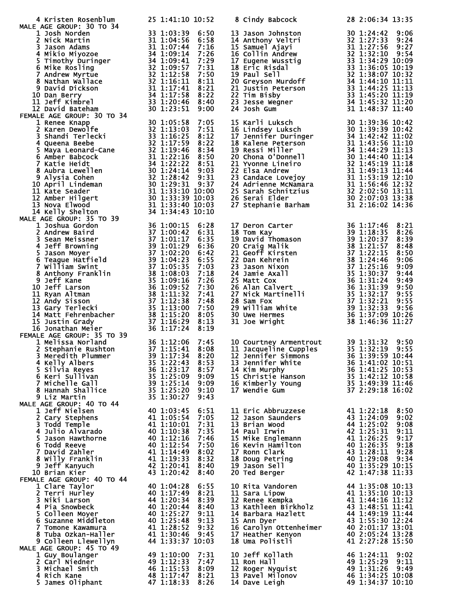| 4 Kristen Rosenblum<br>4 Kristen Rosenblum<br>MALE Ace GROUP: 30 TO 34<br>2 Nick Martin<br>2 Nick Martin<br>2 Nick Martin<br>2 Nick Martin<br>2 Nick Martin<br>2 Nick Martin<br>4 Nikio Miyozoe<br>4 Mikio Miyozoe<br>4 Mikio Miyozoe<br>4 Mikio Miyozoe<br>6 Mike Rosling<br>4 | 25 1:41:10 10:52                                                                                                                                                                                            | 8 Cindy Babcock                                                                                                                                                                                                                                          | 28 2:06:34 13:35   |
|---------------------------------------------------------------------------------------------------------------------------------------------------------------------------------------------------------------------------------------------------------------------------------|-------------------------------------------------------------------------------------------------------------------------------------------------------------------------------------------------------------|----------------------------------------------------------------------------------------------------------------------------------------------------------------------------------------------------------------------------------------------------------|--------------------|
| MALE AGE GROUP: 30 TO 34                                                                                                                                                                                                                                                        |                                                                                                                                                                                                             |                                                                                                                                                                                                                                                          |                    |
|                                                                                                                                                                                                                                                                                 |                                                                                                                                                                                                             |                                                                                                                                                                                                                                                          |                    |
|                                                                                                                                                                                                                                                                                 |                                                                                                                                                                                                             |                                                                                                                                                                                                                                                          |                    |
|                                                                                                                                                                                                                                                                                 |                                                                                                                                                                                                             |                                                                                                                                                                                                                                                          |                    |
|                                                                                                                                                                                                                                                                                 |                                                                                                                                                                                                             | 13 Jason Johnston<br>14 Anthony Veltri<br>15 Samuel Ajayi<br>15 Samuel Ajayi<br>16 Collin Andrew<br>16 Collin Andrew<br>17 Eugene Wusstig<br>18 Eric Risdal<br>19 Paul Sell<br>19 Paul Sell<br>20 Greyson Murdoff<br>21 Justin Peterson<br>22 Tim Bisb   |                    |
|                                                                                                                                                                                                                                                                                 |                                                                                                                                                                                                             |                                                                                                                                                                                                                                                          |                    |
|                                                                                                                                                                                                                                                                                 |                                                                                                                                                                                                             |                                                                                                                                                                                                                                                          |                    |
|                                                                                                                                                                                                                                                                                 |                                                                                                                                                                                                             |                                                                                                                                                                                                                                                          |                    |
|                                                                                                                                                                                                                                                                                 |                                                                                                                                                                                                             |                                                                                                                                                                                                                                                          |                    |
|                                                                                                                                                                                                                                                                                 |                                                                                                                                                                                                             |                                                                                                                                                                                                                                                          |                    |
|                                                                                                                                                                                                                                                                                 |                                                                                                                                                                                                             |                                                                                                                                                                                                                                                          |                    |
|                                                                                                                                                                                                                                                                                 |                                                                                                                                                                                                             | 15 Karli Luksch<br>16 Lindsey Luksch<br>16 Lindsey Luksch<br>17 Jennifer Duringer<br>18 Kalene Peterson<br>19 Ressi Miller<br>19 Ressi Miller<br>20 Chona 0'Donnell<br>31 1:44:29 11:13<br>20 Chona 0'Donnell<br>30 1:44:40 11:13<br>21 Yvonne Linei     |                    |
|                                                                                                                                                                                                                                                                                 |                                                                                                                                                                                                             |                                                                                                                                                                                                                                                          |                    |
|                                                                                                                                                                                                                                                                                 |                                                                                                                                                                                                             |                                                                                                                                                                                                                                                          |                    |
|                                                                                                                                                                                                                                                                                 |                                                                                                                                                                                                             |                                                                                                                                                                                                                                                          |                    |
|                                                                                                                                                                                                                                                                                 |                                                                                                                                                                                                             |                                                                                                                                                                                                                                                          |                    |
|                                                                                                                                                                                                                                                                                 |                                                                                                                                                                                                             |                                                                                                                                                                                                                                                          |                    |
|                                                                                                                                                                                                                                                                                 |                                                                                                                                                                                                             |                                                                                                                                                                                                                                                          |                    |
|                                                                                                                                                                                                                                                                                 |                                                                                                                                                                                                             |                                                                                                                                                                                                                                                          |                    |
|                                                                                                                                                                                                                                                                                 |                                                                                                                                                                                                             |                                                                                                                                                                                                                                                          |                    |
|                                                                                                                                                                                                                                                                                 |                                                                                                                                                                                                             |                                                                                                                                                                                                                                                          |                    |
|                                                                                                                                                                                                                                                                                 |                                                                                                                                                                                                             |                                                                                                                                                                                                                                                          |                    |
|                                                                                                                                                                                                                                                                                 |                                                                                                                                                                                                             |                                                                                                                                                                                                                                                          |                    |
|                                                                                                                                                                                                                                                                                 |                                                                                                                                                                                                             |                                                                                                                                                                                                                                                          |                    |
|                                                                                                                                                                                                                                                                                 |                                                                                                                                                                                                             |                                                                                                                                                                                                                                                          |                    |
|                                                                                                                                                                                                                                                                                 |                                                                                                                                                                                                             |                                                                                                                                                                                                                                                          |                    |
|                                                                                                                                                                                                                                                                                 |                                                                                                                                                                                                             |                                                                                                                                                                                                                                                          |                    |
|                                                                                                                                                                                                                                                                                 |                                                                                                                                                                                                             |                                                                                                                                                                                                                                                          |                    |
|                                                                                                                                                                                                                                                                                 |                                                                                                                                                                                                             |                                                                                                                                                                                                                                                          |                    |
|                                                                                                                                                                                                                                                                                 |                                                                                                                                                                                                             |                                                                                                                                                                                                                                                          |                    |
|                                                                                                                                                                                                                                                                                 |                                                                                                                                                                                                             |                                                                                                                                                                                                                                                          |                    |
|                                                                                                                                                                                                                                                                                 |                                                                                                                                                                                                             |                                                                                                                                                                                                                                                          |                    |
|                                                                                                                                                                                                                                                                                 |                                                                                                                                                                                                             |                                                                                                                                                                                                                                                          |                    |
|                                                                                                                                                                                                                                                                                 |                                                                                                                                                                                                             |                                                                                                                                                                                                                                                          |                    |
|                                                                                                                                                                                                                                                                                 |                                                                                                                                                                                                             | 17 Deron Carter<br>18 Tom Kay<br>19 David Thomason<br>20 Craig Malik<br>21 Geoff Kirsten<br>22 Dan Kehrein<br>23 David Malik<br>21 Geoff Kirsten<br>23 Dason Nixon<br>24 Jamie Axall<br>25 Matt Cox<br>26 Alan Calvert<br>26 Alan Calvert<br>27 Nick Mar |                    |
|                                                                                                                                                                                                                                                                                 |                                                                                                                                                                                                             |                                                                                                                                                                                                                                                          |                    |
|                                                                                                                                                                                                                                                                                 |                                                                                                                                                                                                             |                                                                                                                                                                                                                                                          |                    |
|                                                                                                                                                                                                                                                                                 |                                                                                                                                                                                                             |                                                                                                                                                                                                                                                          |                    |
|                                                                                                                                                                                                                                                                                 |                                                                                                                                                                                                             |                                                                                                                                                                                                                                                          |                    |
|                                                                                                                                                                                                                                                                                 |                                                                                                                                                                                                             | 10 Courtney Armentrout<br>11 Jacqueline Cupples<br>12 Jennifer Simmons<br>13 Jennifer Simmons<br>13 Jennifer White<br>13 Jennifer White<br>14 Kim Murphy<br>14 Kim Murphy<br>15 Christie Hanson<br>16 Kimberly Young<br>16 Super 1:42:12 10:58<br>16     |                    |
|                                                                                                                                                                                                                                                                                 |                                                                                                                                                                                                             |                                                                                                                                                                                                                                                          |                    |
|                                                                                                                                                                                                                                                                                 |                                                                                                                                                                                                             |                                                                                                                                                                                                                                                          |                    |
| 3 Meredith Plummer<br>3 Meredith Plummer<br>39 1:17:34 8:20<br>4 Kelly Albers<br>5 Silvia Reyes<br>5 Silvia Reyes<br>6 Keri Sullivan<br>7 Michelle Gall<br>8 Hannah Shallice<br>8 Hannah Shallice<br>8 Hannah Shallice<br>8 Hannah Shallice<br>8 Hanna                          |                                                                                                                                                                                                             |                                                                                                                                                                                                                                                          |                    |
|                                                                                                                                                                                                                                                                                 |                                                                                                                                                                                                             |                                                                                                                                                                                                                                                          |                    |
|                                                                                                                                                                                                                                                                                 |                                                                                                                                                                                                             |                                                                                                                                                                                                                                                          |                    |
|                                                                                                                                                                                                                                                                                 |                                                                                                                                                                                                             |                                                                                                                                                                                                                                                          |                    |
| 9 Liz Martin                                                                                                                                                                                                                                                                    | 35 1:30:27<br>9:43                                                                                                                                                                                          |                                                                                                                                                                                                                                                          |                    |
| MALE AGE GROUP: 40 TO 44                                                                                                                                                                                                                                                        |                                                                                                                                                                                                             |                                                                                                                                                                                                                                                          |                    |
| 1 Jeff Nielsen<br>2 Cary Stephens                                                                                                                                                                                                                                               | 40 1:03:45<br>6:51<br>40 1:03:45<br>41 1:10:01 7:31<br>41 1:10:01 7:33<br>40 1:10:38 7:35<br>40 1:12:16 7:46<br>40 1:12:54 7:50<br>41 1:14:49 8:02<br>41 1:19:33 8:32<br>42 1:20:41 8:40<br>43 1:20:41 8:40 | 11 Eric Abbruzzese<br>12 Jason Saunders<br>13 Brian Wood<br>14 Paul Irwin<br>15 Mike Englemann<br>16 Kevin Hamilton<br>17 Ronn Clark<br>18 Doug Petring<br>19 Jason Sell<br>19 Jason Sell<br>20 Ted Berger<br>14 1:26:25 9:17<br>16 Nevin Hamilton<br>40 |                    |
| 3 Todd Temple                                                                                                                                                                                                                                                                   |                                                                                                                                                                                                             |                                                                                                                                                                                                                                                          |                    |
| 4 Julio Alvarado                                                                                                                                                                                                                                                                |                                                                                                                                                                                                             |                                                                                                                                                                                                                                                          |                    |
| 5 Jason Hawthorne                                                                                                                                                                                                                                                               |                                                                                                                                                                                                             |                                                                                                                                                                                                                                                          |                    |
| 6 Todd Reeve                                                                                                                                                                                                                                                                    |                                                                                                                                                                                                             |                                                                                                                                                                                                                                                          |                    |
| 7 David Zahler                                                                                                                                                                                                                                                                  |                                                                                                                                                                                                             |                                                                                                                                                                                                                                                          |                    |
| 8 Willy Franklin<br>9 Jeff Kanyuch                                                                                                                                                                                                                                              |                                                                                                                                                                                                             |                                                                                                                                                                                                                                                          |                    |
| 10 Brian Kier                                                                                                                                                                                                                                                                   |                                                                                                                                                                                                             |                                                                                                                                                                                                                                                          |                    |
| FEMALE AGE GROUP: 40 TO 44                                                                                                                                                                                                                                                      |                                                                                                                                                                                                             |                                                                                                                                                                                                                                                          |                    |
| 1 Clare Taylor                                                                                                                                                                                                                                                                  | 40 1:04:28<br>6:55                                                                                                                                                                                          |                                                                                                                                                                                                                                                          |                    |
| 2 Terri Hurley                                                                                                                                                                                                                                                                  | 40 1:17:49 8:21                                                                                                                                                                                             |                                                                                                                                                                                                                                                          |                    |
|                                                                                                                                                                                                                                                                                 |                                                                                                                                                                                                             |                                                                                                                                                                                                                                                          |                    |
|                                                                                                                                                                                                                                                                                 |                                                                                                                                                                                                             |                                                                                                                                                                                                                                                          |                    |
|                                                                                                                                                                                                                                                                                 |                                                                                                                                                                                                             |                                                                                                                                                                                                                                                          |                    |
| 2 Niki Larson<br>44 1:20:34 8:39<br>4 Pia Snowbeck<br>5 Colleen Moyer<br>6 Suzanne Middleton<br>7 Tomone Kawamura<br>8 Tuba Ozkan-Haller<br>8 Tuba Ozkan-Haller<br>41 1:28:52 9:32<br>8 Tuba Ozkan-Haller<br>41 1:30:46 9:45<br>9:45<br>9:01een Llewel                          |                                                                                                                                                                                                             | 10 Rita Vandoren<br>11 Sara Lipow<br>12 Renee Kempka<br>12 Renee Kempka<br>41 1:35:10 10:13<br>12 Renee Kempka<br>41 1:44:16 11:12<br>13 Kathleen Birkholz<br>43 1:48:51 11:41<br>14 Barbara Hazlett<br>44 1:49:19 11:44<br>15 Ann Dyer<br>43 1:55:30    |                    |
|                                                                                                                                                                                                                                                                                 |                                                                                                                                                                                                             |                                                                                                                                                                                                                                                          |                    |
|                                                                                                                                                                                                                                                                                 |                                                                                                                                                                                                             |                                                                                                                                                                                                                                                          |                    |
| MALE AGE GROUP: 45 TO 49                                                                                                                                                                                                                                                        |                                                                                                                                                                                                             |                                                                                                                                                                                                                                                          | 46 1:24:11<br>9:02 |
|                                                                                                                                                                                                                                                                                 |                                                                                                                                                                                                             |                                                                                                                                                                                                                                                          |                    |
|                                                                                                                                                                                                                                                                                 |                                                                                                                                                                                                             |                                                                                                                                                                                                                                                          |                    |
|                                                                                                                                                                                                                                                                                 |                                                                                                                                                                                                             | 10 Jeff Kollath<br>11 Ron Hall                                                                                                                                                                                                                           | 49 1:25:29 9:11    |
|                                                                                                                                                                                                                                                                                 | 1 Guy Boulanger<br>2 Carl Niedner<br>3 Michael Smith<br>46 1:15:53 8:09<br>48 1:17:47 8:21<br>5 James Oliphant<br>47 1:18:33 8:26                                                                           | 11 Kon Hall<br>12 Roger Nyquist<br>13 Pavel Milonov<br>14 Dave Leigh<br>14 Dave Leigh<br>14 Dave Leigh<br>14 29 1:34:37 10:10                                                                                                                            |                    |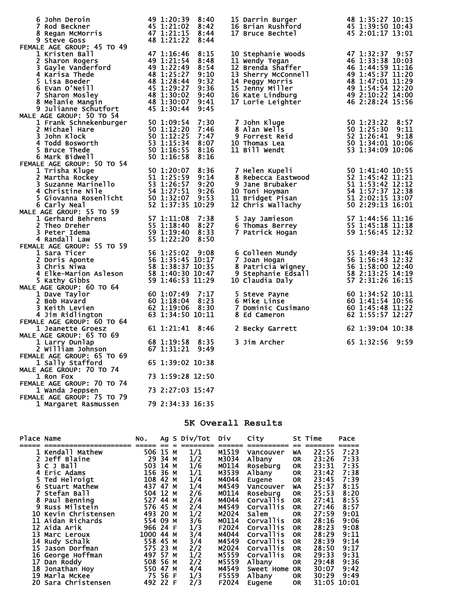| 19 1.2013<br>7 Rod Beckner<br>8 Regan McMorris<br>2 47 1:21:15<br>2 48 1:21:22                                                                                                                                                                           |                          | 8:40<br>8:42<br>8:44 | 1. January 10 Burger<br>16 Brian Rushford<br>17 Bruce Bechtel<br>17 Bruce Bechtel<br>17 Bruce Bechtel<br>19 2:01:17 13:01                                                                                                                              |                  |
|----------------------------------------------------------------------------------------------------------------------------------------------------------------------------------------------------------------------------------------------------------|--------------------------|----------------------|--------------------------------------------------------------------------------------------------------------------------------------------------------------------------------------------------------------------------------------------------------|------------------|
|                                                                                                                                                                                                                                                          |                          | 8:44                 |                                                                                                                                                                                                                                                        |                  |
| 1 Kristen Ball<br>2 Sharon Rogers<br>3 Gayle Vanderford<br>4 Karisa Thede<br>4 Karisa Thede<br>5 Lisa Boeder<br>5 Lisa Boeder<br>7 Sharon Mosley<br>8 Melanie Mangin<br>8 Melanie Mangin<br>8 Melanie Mangin<br>48 1:29:27 9:10<br>5 Sharon Mosley<br>48 |                          |                      | 10 Stephanie Woods<br>11 Wendy Tegan<br>12 Brenda Shaffer<br>12 Brenda Shaffer<br>13 Sherry McConnell<br>13 Sherry McConnell<br>14 Peggy Morris<br>15 Jenny Miller<br>15 Jenny Miller<br>16 Kate Lindburg<br>16 Kate Lindburg<br>17 Lorie Leighter<br> |                  |
|                                                                                                                                                                                                                                                          |                          |                      |                                                                                                                                                                                                                                                        |                  |
|                                                                                                                                                                                                                                                          |                          |                      |                                                                                                                                                                                                                                                        |                  |
|                                                                                                                                                                                                                                                          |                          |                      |                                                                                                                                                                                                                                                        |                  |
|                                                                                                                                                                                                                                                          |                          |                      |                                                                                                                                                                                                                                                        |                  |
| 9 Julianne Schurfort 45 1:30:44 9:45<br>16 GRG (ROUP: 50 TO 54<br>16 Frank Schnekenburger 50 1:09:54 7:30<br>2 Michael Hare<br>3 John Klock 50 1:12:25 7:46<br>4 Todd Bosworth 53 1:15:34 8:07<br>5 Bruce Thede<br>6 Mark Bidwell<br>5 Mark Bi           |                          |                      |                                                                                                                                                                                                                                                        |                  |
|                                                                                                                                                                                                                                                          |                          |                      | 7 John Kluge<br>8 Alan Wells<br>9 Forrest Reid<br>9 Thomas Lea<br>10 Thomas Lea<br>11 Bill Wendt<br>50 1:25:30<br>51 1:26:41<br>51 1:34:01<br>50 1:34:01<br>50 1:34:01<br>50 1:34:09<br>50 1:34:00<br>50 1:34:00                                       |                  |
|                                                                                                                                                                                                                                                          |                          |                      |                                                                                                                                                                                                                                                        |                  |
|                                                                                                                                                                                                                                                          |                          |                      |                                                                                                                                                                                                                                                        |                  |
|                                                                                                                                                                                                                                                          |                          |                      |                                                                                                                                                                                                                                                        |                  |
|                                                                                                                                                                                                                                                          |                          |                      |                                                                                                                                                                                                                                                        |                  |
|                                                                                                                                                                                                                                                          |                          |                      |                                                                                                                                                                                                                                                        |                  |
|                                                                                                                                                                                                                                                          |                          |                      | 7 Helen Kupeli<br>8 Rebecca Eastwood<br>9 Jane Brubaker<br>9 Jane Brubaker<br>10 Toni Hoyman<br>11 Bridget Pisan<br>12 Chris Wallachy<br>12 Chris Wallachy<br>12 Chris Wallachy<br>13 2:02:15 13:07<br>13 2:02:15 13:07<br>14 2:02:15 13:07<br>16:01   |                  |
|                                                                                                                                                                                                                                                          |                          |                      |                                                                                                                                                                                                                                                        |                  |
|                                                                                                                                                                                                                                                          |                          |                      |                                                                                                                                                                                                                                                        |                  |
|                                                                                                                                                                                                                                                          |                          |                      |                                                                                                                                                                                                                                                        |                  |
|                                                                                                                                                                                                                                                          |                          |                      |                                                                                                                                                                                                                                                        |                  |
|                                                                                                                                                                                                                                                          |                          |                      |                                                                                                                                                                                                                                                        |                  |
|                                                                                                                                                                                                                                                          |                          |                      | 5 Jay Jamieson<br>6 Thomas Berrey<br>7 Patrick Hogan<br>7 S9 1:56:45 12:32                                                                                                                                                                             |                  |
|                                                                                                                                                                                                                                                          |                          |                      |                                                                                                                                                                                                                                                        |                  |
|                                                                                                                                                                                                                                                          |                          |                      |                                                                                                                                                                                                                                                        |                  |
|                                                                                                                                                                                                                                                          |                          |                      |                                                                                                                                                                                                                                                        |                  |
|                                                                                                                                                                                                                                                          |                          |                      | 6 Colleen Mundy<br>7 Joan Hogan<br>8 Patricia Wigney<br>9 Stephanie Edsall<br>10 Claudia Daly<br>10 Claudia Daly<br>57 2:31:26 16:15                                                                                                                   |                  |
|                                                                                                                                                                                                                                                          |                          |                      |                                                                                                                                                                                                                                                        |                  |
|                                                                                                                                                                                                                                                          |                          |                      |                                                                                                                                                                                                                                                        |                  |
|                                                                                                                                                                                                                                                          |                          |                      | 10 Claudia Daly                                                                                                                                                                                                                                        |                  |
|                                                                                                                                                                                                                                                          |                          |                      |                                                                                                                                                                                                                                                        |                  |
|                                                                                                                                                                                                                                                          |                          |                      | 5 Steve Payne<br>60 1:34:52 10:11<br>6 Mike Linse<br>7 Dominic Cusimano<br>8 Ed Cameron<br>8 Ed Cameron<br>62 1:55:57 12:27                                                                                                                            |                  |
|                                                                                                                                                                                                                                                          |                          |                      |                                                                                                                                                                                                                                                        |                  |
|                                                                                                                                                                                                                                                          |                          |                      |                                                                                                                                                                                                                                                        |                  |
| FEMALE AGE GROUP: 60 TO 64                                                                                                                                                                                                                               |                          |                      |                                                                                                                                                                                                                                                        |                  |
| 1 Jeanette Groesz                                                                                                                                                                                                                                        | 61 1:21:41               | 8:46                 | 2 Becky Garrett                                                                                                                                                                                                                                        | 62 1:39:04 10:38 |
| MALE AGE GROUP: 65 TO 69                                                                                                                                                                                                                                 |                          |                      |                                                                                                                                                                                                                                                        |                  |
| 1 Larry Dunlap                                                                                                                                                                                                                                           | 68 1:19:58<br>67 1:31:21 | 8:35                 | 3 Jim Archer                                                                                                                                                                                                                                           | 65 1:32:56 9:59  |
| 2 William Johnson                                                                                                                                                                                                                                        | 67 1:31:21               | 9:49                 |                                                                                                                                                                                                                                                        |                  |
| FEMALE AGE GROUP: 65 TO 69<br>1 Sally Stafford                                                                                                                                                                                                           | 65 1:39:02 10:38         |                      |                                                                                                                                                                                                                                                        |                  |
| MALE AGE GROUP: 70 TO 74                                                                                                                                                                                                                                 |                          |                      |                                                                                                                                                                                                                                                        |                  |
| 1 Ron Fox                                                                                                                                                                                                                                                | 73 1:59:28 12:50         |                      |                                                                                                                                                                                                                                                        |                  |
| FEMALE AGE GROUP: 70 TO 74                                                                                                                                                                                                                               |                          |                      |                                                                                                                                                                                                                                                        |                  |
| 1 Wanda Jeppsen                                                                                                                                                                                                                                          | 73 2:27:03 15:47         |                      |                                                                                                                                                                                                                                                        |                  |
| FEMALE AGE GROUP: 75 TO 79                                                                                                                                                                                                                               |                          |                      |                                                                                                                                                                                                                                                        |                  |

## **5K Overall Results**

| Place Name |                      | NO.      |      |   | Ag S Div/Tot             | Div   | City             |           | St Time     | Pace |
|------------|----------------------|----------|------|---|--------------------------|-------|------------------|-----------|-------------|------|
|            | 1 Kendall Mathew     | 506 15 M |      |   | 1/1                      | M1519 | Vancouver        | WA        | 22:55       | 7:23 |
| 2.         | Jeff Blaine          | 29       | 34 M |   | 1/2                      | M3034 | Albany           | <b>OR</b> | 23:26       | 7:33 |
|            | 3 C J Ball           | 503      | 14 M |   | 1/6                      | M0114 | Roseburg         | <b>OR</b> | 23:31       | 7:35 |
|            | 4 Eric Adams         | 156      | 36 M |   | 1/1                      | M3539 | Albany           | <b>OR</b> | 23:42       | 7:38 |
|            | 5 Ted Helroigt       | 108      | 42 M |   | 1/4                      | M4044 | Eugene           | <b>OR</b> | 23:45       | 7:39 |
|            | 6 Stuart Mathew      | 437 47 M |      |   |                          | M4549 | Vancouver        | WA        | 25:37       | 8:15 |
|            | Stefan Ball          | 504 12 M |      |   | $\frac{1/4}{2/6}$<br>2/4 | M0114 | Roseburg         | <b>OR</b> | 25:53       | 8:20 |
|            | 8 Paul Benning       | 527      | 44   | M |                          | M4044 | Corvallis        | <b>OR</b> | 27:41       | 8:55 |
|            | 9 Russ Milstein      | 576 45 M |      |   | $\frac{2}{1/2}$          | M4549 | Corvallis        | <b>OR</b> | 27:46       | 8:57 |
|            | 10 Kevin Christensen | 493      | 20 M |   |                          | M2024 | Salem            | <b>OR</b> | 27:59       | 9:01 |
|            | 11 Aidan Richards    | 554 09 M |      |   | 3/6                      | M0114 | <b>Corvallis</b> | <b>OR</b> | 28:16       | 9:06 |
|            | 12 Aida Arik         | 966 24 F |      |   | 1/3                      | F2024 | <b>Corvallis</b> | <b>OR</b> | 28:23       | 9:08 |
| 13         | Marc Leroux          | 1000     | 44 M |   | 3/4                      | M4044 | Corvallis        | <b>OR</b> | 28:29       | 9:11 |
| 14         | Rudy Schalk          | 558      | 45 M |   | 3/4                      | M4549 | Corvallis        | <b>OR</b> | 28:39       | 9:14 |
|            | 15 Jason Dorfman     | 575      | 23 M |   | 2/2                      | M2024 | Corvallis        | <b>OR</b> | 28:50       | 9:17 |
| 16         | George Hoffman       | 497 57 M |      |   | 1/2                      | M5559 | Corvallis        | <b>OR</b> | 29:33       | 9:31 |
| 17         | Dan Roddy            | 508 56 M |      |   | 2/2                      | M5559 | Albany           | <b>OR</b> | 29:48       | 9:36 |
| 18         | Jonathan Hoy         | 550      | 47 M |   | 4/4                      | M4549 | Sweet Home       | <b>OR</b> | 30:07       | 9:42 |
| 19         | Marla McKee          | 75 56 F  |      |   | 1/3                      | F5559 | Albany           | <b>OR</b> | 30:29       | 9:49 |
|            | 20 Sara Christensen  | 492 22 F |      |   | 2/3                      | F2024 | Eugene           | <b>OR</b> | 31:05 10:01 |      |

1 Margaret Rasmussen 79 2:34:33 16:35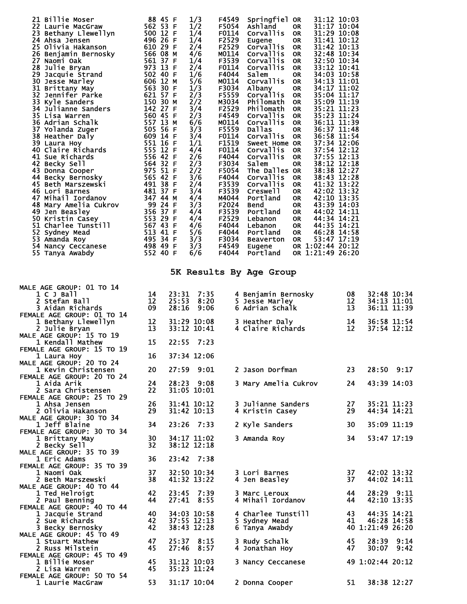| 21 Billie Moser         | 88<br>45 F      | 1/3                                             | F4549 | Springfiel       | <b>OR</b> | 31:12 10:03      |  |
|-------------------------|-----------------|-------------------------------------------------|-------|------------------|-----------|------------------|--|
| 22 Laurie MacGraw       | 562 53 F        | 1/2                                             | F5054 | Ashland          | <b>OR</b> | 31:17 10:04      |  |
| 23 Bethany Llewellyn    | 500 12 F        | 1/4                                             | F0114 | <b>Corvallis</b> | <b>OR</b> | 31:29 10:08      |  |
| 24 Ahsa Jensen          | 496 26 F        | $\frac{1}{4}$<br>$\frac{2}{4}$<br>$\frac{4}{6}$ | F2529 | <b>Eugene</b>    | <b>OR</b> | 31:41 10:12      |  |
| 25 Olivia Hakanson      | 610 29 F        |                                                 | F2529 | Corvallis        | <b>OR</b> | 31:42 10:13      |  |
| 26<br>Benjamin Bernosky | 566 08 M        |                                                 | M0114 | Corvallis        | <b>OR</b> | 32:48 10:34      |  |
| 27 Naomi Oak            | 561<br>37 F     | 1/4                                             | F3539 | Corvallis        | <b>OR</b> | 32:50 10:34      |  |
| 28<br>Julie Bryan       | 973<br>13<br>F  | 2/4                                             | F0114 | Corvallis        | <b>OR</b> | 33:12<br>10:41   |  |
| 29<br>Jacquie Strand    | 502<br>40<br>F  | 1/6                                             | F4044 | Salem            | <b>OR</b> | 34:03<br>10:58   |  |
| 30<br>Jesse Marley      | 12<br>606<br>M  | 5/6                                             | M0114 | Corvallis        | <b>OR</b> | 34:13<br>11:01   |  |
| 31 Brittany May         | 563<br>30<br>-F | 1/3                                             | F3034 | Albany           | <b>OR</b> | 34:17 11:02      |  |
| 32<br>Jennifer Parke    | 621<br>57 F     | 2/3                                             | F5559 | <b>Corvallis</b> | <b>OR</b> | 35:04 11:17      |  |
| 33<br>Kyle Sanders      | 150<br>30 M     | 2/2                                             | M3034 | Philomath        | <b>OR</b> | 35:09 11:19      |  |
| 34<br>Julianne Sanders  | 142<br>27 F     | 3/4                                             | F2529 | Philomath        | <b>OR</b> | 35:21 11:23      |  |
| 35 Lisa Warren          | 560 45 F        | 2/3                                             | F4549 | Corvallis        | <b>OR</b> | 35:23 11:24      |  |
| 36 Adrian Schalk        | 557<br>13 M     | 6/6                                             | M0114 | <b>Corvallis</b> | <b>OR</b> | 36:11 11:39      |  |
| 37 Yolanda Zuger        | 505<br>56 F     | 3/3                                             | F5559 | Dallas           | <b>OR</b> | 36:37 11:48      |  |
| 38 Heather Daly         | 609<br>14 F     | 3/4                                             | F0114 | Corvallis        | <b>OR</b> | 36:58 11:54      |  |
| 39 Laura Hoy            | 551 16 F        | 1/1                                             | F1519 | Sweet Home OR    |           | 37:34 12:06      |  |
| 40 Claire Richards      | 555 12 F        | 4/4                                             | F0114 | <b>Corvallis</b> | <b>OR</b> | 37:54 12:12      |  |
| 41 Sue Richards         | 556 42 F        | 2/6                                             | F4044 | Corvallis        | <b>OR</b> | 37:55 12:13      |  |
| 42 Becky Sell           | 32 F<br>564     | 2/3                                             | F3034 | Salem            | <b>OR</b> | 38:12 12:18      |  |
| 43 Donna Cooper         | 975<br>51 F     | 2/2                                             | F5054 | The Dalles OR    |           | 38:38 12:27      |  |
| 44 Becky Bernosky       | 565<br>42 F     | 3/6                                             | F4044 | Corvallis        | <b>OR</b> | 38:43 12:28      |  |
| 45 Beth Marszewski      | 491<br>38 F     | 2/4                                             | F3539 | <b>Corvallis</b> | <b>OR</b> | 41:32 13:22      |  |
| 46 Lori Barnes          | 481<br>37 F     | 3/4                                             | F3539 | Creswell         | <b>OR</b> | 42:02 13:32      |  |
| Mihail Iordanov<br>47   | 347<br>44<br>M  | 4/4                                             | M4044 | Portland         | <b>OR</b> | 42:10 13:35      |  |
| 48 Mary Amelia Cukrov   | 99<br>24<br>E   | 3/3                                             | F2024 | <b>Bend</b>      | <b>OR</b> | 43:39 14:03      |  |
| 49 Jen Beasley          | 356<br>37<br>F  | 4/4                                             | F3539 | Portland         | <b>OR</b> | 44:02 14:11      |  |
| 50 Kristin Casey        | 29 F<br>553     | 4/4                                             | F2529 | Lebanon          | <b>OR</b> | 44:34 14:21      |  |
| 51 Charlee Tunstill     | 567 43<br>F     | 4/6                                             | F4044 | Lebanon          | <b>OR</b> | 44:35 14:21      |  |
| 52<br>Sydney Mead       | 513<br>41 F     | 5/6                                             | F4044 | Portland         | <b>OR</b> | 46:28 14:58      |  |
| 53.<br>Amanda Roy       | 495<br>34 F     | 3/3                                             | F3034 | <b>Beaverton</b> | <b>OR</b> | 53:47 17:19      |  |
| 54<br>Nancy Ceccanese   | 498<br>49 F     | 3/3                                             | F4549 | Eugene           |           | OR 1:02:44 20:12 |  |
| 55.<br>Tanya Awabdy     | 552<br>40 F     | 6/6                                             | F4044 | Portland         |           | OR 1:21:49 26:20 |  |
|                         |                 |                                                 |       |                  |           |                  |  |

## **5K Results By Age Group**

| MALE AGE GROUP: 01 TO 14   |    |             |                 |                      |    |                  |
|----------------------------|----|-------------|-----------------|----------------------|----|------------------|
| 1 C J Ball                 | 14 | 23:31       | 7:35            | 4 Benjamin Bernosky  | 08 | 32:48 10:34      |
| 2 Stefan Ball              | 12 | 25:53       | 8:20            | 5 Jesse Marley       | 12 | 34:13 11:01      |
| 3 Aidan Richards           | 09 | 28:16       | 9:06            | 6 Adrian Schalk      | 13 | 36:11 11:39      |
| FEMALE AGE GROUP: 01 TO 14 |    |             |                 |                      |    |                  |
| 1 Bethany Llewellyn        | 12 |             | 31:29 10:08     | 3 Heather Daly       | 14 | 36:58 11:54      |
| 2 Julie Bryan              | 13 |             | $33:12$ $10:41$ | 4 Claire Richards    | 12 | 37:54 12:12      |
| MALE AGE GROUP: 15 TO 19   |    |             |                 |                      |    |                  |
| 1 Kendall Mathew           | 15 | 22:55       | 7:23            |                      |    |                  |
| FEMALE AGE GROUP: 15 TO 19 |    |             |                 |                      |    |                  |
| 1 Laura Hoy                | 16 |             | 37:34 12:06     |                      |    |                  |
| MALE AGE GROUP: 20 TO 24   |    |             |                 |                      |    |                  |
| 1 Kevin Christensen        | 20 |             | 27:59 9:01      | 2 Jason Dorfman      | 23 | 28:50 9:17       |
| FEMALE AGE GROUP: 20 TO 24 |    |             |                 |                      |    |                  |
|                            |    |             |                 |                      | 24 |                  |
| 1 Aida Arik                | 24 |             | 28:23 9:08      | 3 Mary Amelia Cukrov |    | 43:39 14:03      |
| 2 Sara Christensen         | 22 |             | 31:05 10:01     |                      |    |                  |
| FEMALE AGE GROUP: 25 TO 29 |    |             |                 |                      |    |                  |
| 1 Ahsa Jensen              | 26 |             | 31:41 10:12     | 3 Julianne Sanders   | 27 | 35:21 11:23      |
| 2 Olivia Hakanson          | 29 |             | 31:42 10:13     | 4 Kristin Casey      | 29 | 44:34 14:21      |
| MALE AGE GROUP: 30 TO 34   |    |             |                 |                      |    |                  |
| 1 Jeff Blaine              | 34 | 23:26       | 7:33            | 2 Kyle Sanders       | 30 | 35:09 11:19      |
| FEMALE AGE GROUP: 30 TO 34 |    |             |                 |                      |    |                  |
| 1 Brittany May             | 30 |             | 34:17 11:02     | 3 Amanda Roy         | 34 | 53:47 17:19      |
| 2 Becky Sell               | 32 |             | 38:12 12:18     |                      |    |                  |
| MALE AGE GROUP: 35 TO 39   |    |             |                 |                      |    |                  |
| 1 Eric Adams               | 36 | 23:42       | 7:38            |                      |    |                  |
| FEMALE AGE GROUP: 35 TO 39 |    |             |                 |                      |    |                  |
| 1 Naomi Oak                | 37 |             | 32:50 10:34     | 3 Lori Barnes        | 37 | 42:02 13:32      |
| 2 Beth Marszewski          | 38 |             | 41:32 13:22     |                      | 37 | 44:02 14:11      |
|                            |    |             |                 | 4 Jen Beasley        |    |                  |
| MALE AGE GROUP: 40 TO 44   |    |             |                 |                      |    |                  |
| 1 Ted Helroigt             | 42 | 23:45       | 7:39            | 3 Marc Leroux        | 44 | 28:29 9:11       |
| 2 Paul Benning             | 44 | 27:41       | 8:55            | 4 Mihail Iordanov    | 44 | 42:10 13:35      |
| FEMALE AGE GROUP: 40 TO 44 |    |             |                 |                      |    |                  |
| 1 Jacquie Strand           | 40 |             | 34:03 10:58     | 4 Charlee Tunstill   | 43 | 44:35 14:21      |
| 2 Sue Richards             | 42 | 37:55 12:13 |                 | 5 Sydney Mead        | 41 | 46:28 14:58      |
| 3 Becky Bernosky           | 42 |             | 38:43 12:28     | 6 Tanya Awabdy       |    | 40 1:21:49 26:20 |
| MALE AGE GROUP: 45 TO 49   |    |             |                 |                      |    |                  |
| 1 Stuart Mathew            | 47 | 25:37       | 8:15            | 3 Rudy Schalk        | 45 | 28:39<br>9:14    |
| 2 Russ Milstein            | 45 | 27:46       | 8:57            | 4 Jonathan Hoy       | 47 | 30:07<br>9:42    |
| FEMALE AGE GROUP: 45 TO 49 |    |             |                 |                      |    |                  |
| 1 Billie Moser             | 45 |             | 31:12 10:03     | 3 Nancy Ceccanese    |    | 49 1:02:44 20:12 |
| 2 Lisa Warren              | 45 |             | 35:23 11:24     |                      |    |                  |
| FEMALE AGE GROUP: 50 TO 54 |    |             |                 |                      |    |                  |
|                            | 53 |             |                 |                      | 51 | 38:38 12:27      |
| 1 Laurie MacGraw           |    |             | 31:17 10:04     | 2 Donna Cooper       |    |                  |